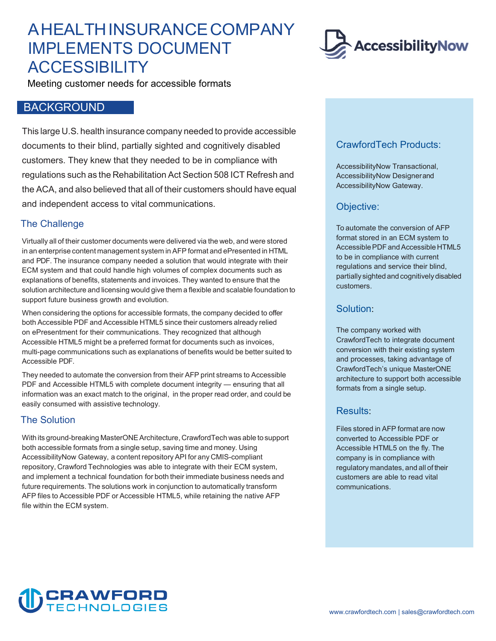# A HEALTHINSURANCECOMPANY IMPLEMENTS DOCUMENT **ACCESSIBILITY**



Meeting customer needs for accessible formats

# BACKGROUND

 This large U.S. health insurance company needed to provide accessible customers. They knew that they needed to be in compliance with regulations such as the Rehabilitation Act Section 508 ICT Refresh and the ACA, and also believed that all of their customers should have equal documents to their blind, partially sighted and cognitively disabled and independent access to vital communications.

## The Challenge

 Virtually all of their customer documents were delivered via the web, and were stored in an enterprise content management system in AFP format and ePresented in HTML ECM system and that could handle high volumes of complex documents such as explanations of benefits, statements and invoices. They wanted to ensure that the solution architecture and licensing would give them a flexible and scalable foundation to and PDF. The insurance company needed a solution that would integrate with their support future business growth and evolution.

 When considering the options for accessible formats, the company decided to offer both Accessible PDF and Accessible HTML5 since their customers already relied Accessible HTML5 might be a preferred format for documents such as invoices, multi-page communications such as explanations of benefits would be better suited to on ePresentment for their communications. They recognized that although Accessible PDF.

 They needed to automate the conversion from their AFP print streams to Accessible information was an exact match to the original, in the proper read order, and could be PDF and Accessible HTML5 with complete document integrity — ensuring that all easily consumed with assistive technology.

#### The Solution

 With its ground-breaking MasterONE Architecture, CrawfordTech was able to support both accessible formats from a single setup, saving time and money. Using AccessibilityNow Gateway, a content repository API for any CMIS-compliant repository, Crawford Technologies was able to integrate with their ECM system, and implement a technical foundation for both their immediate business needs and future requirements. The solutions work in conjunction to automatically transform AFP files to Accessible PDF or Accessible HTML5, while retaining the native AFP file within the ECM system.

# CrawfordTech Products:

AccessibilityNow Transactional, AccessibilityNow Designerand AccessibilityNow Gateway.

#### Objective:

 Accessible PDF and Accessible HTML5 regulations and service their blind, partially sighted and cognitively disabled To automate the conversion of AFP format stored in an ECM system to to be in compliance with current customers.

#### Solution:

The company worked with CrawfordTech to integrate document conversion with their existing system and processes, taking advantage of CrawfordTech's unique MasterONE architecture to support both accessible formats from a single setup.

#### Results:

 Files stored in AFP format are now converted to Accessible PDF or regulatory mandates, and all of their Accessible HTML5 on the fly. The company is in compliance with customers are able to read vital communications.